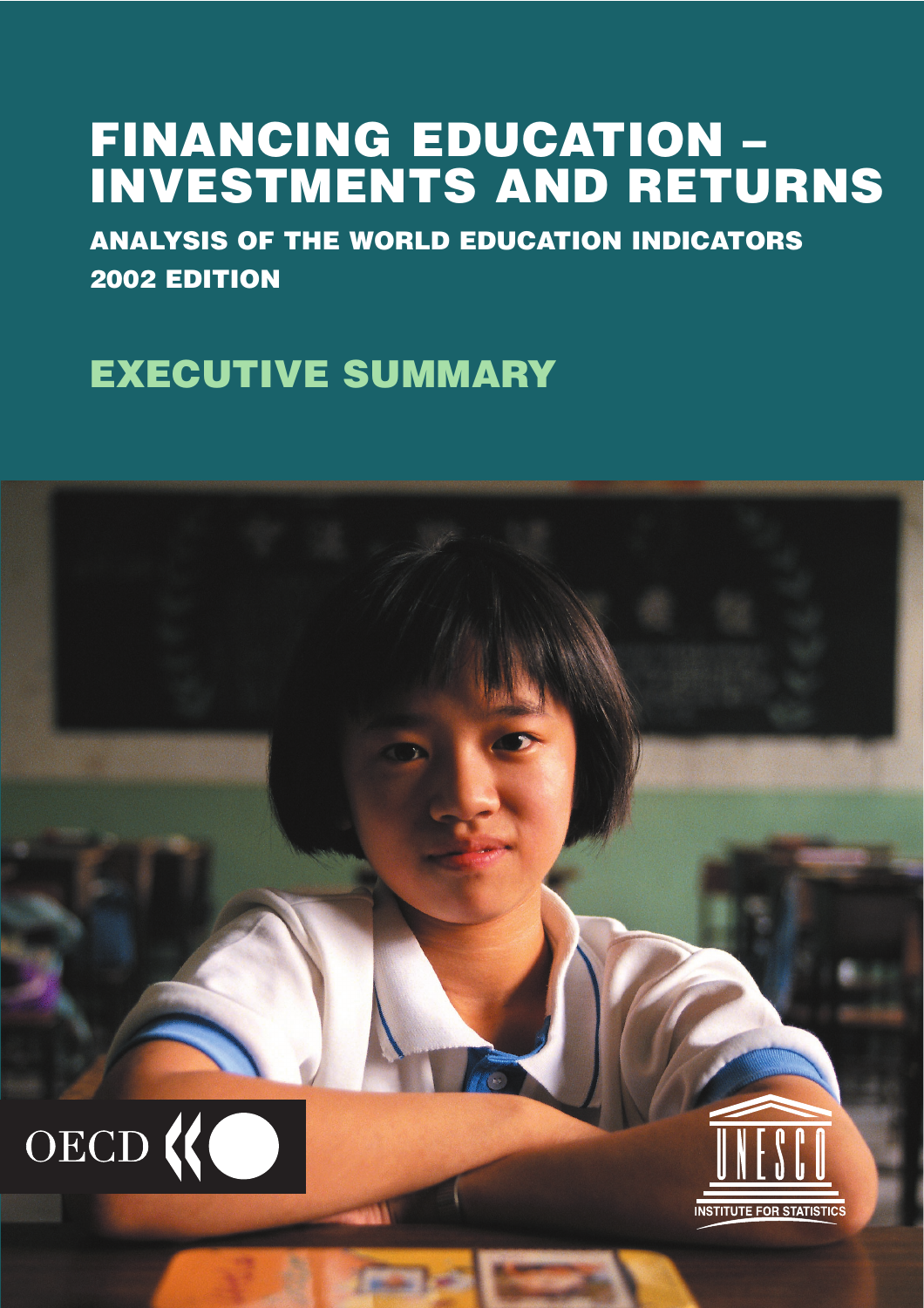# **FINANCING EDUCATION – INVESTMENTS AND RETURNS**

**ANALYSIS OF THE WORLD EDUCATION INDICATORS 2002 EDITION**

**EXECUTIVE SUMMARY**

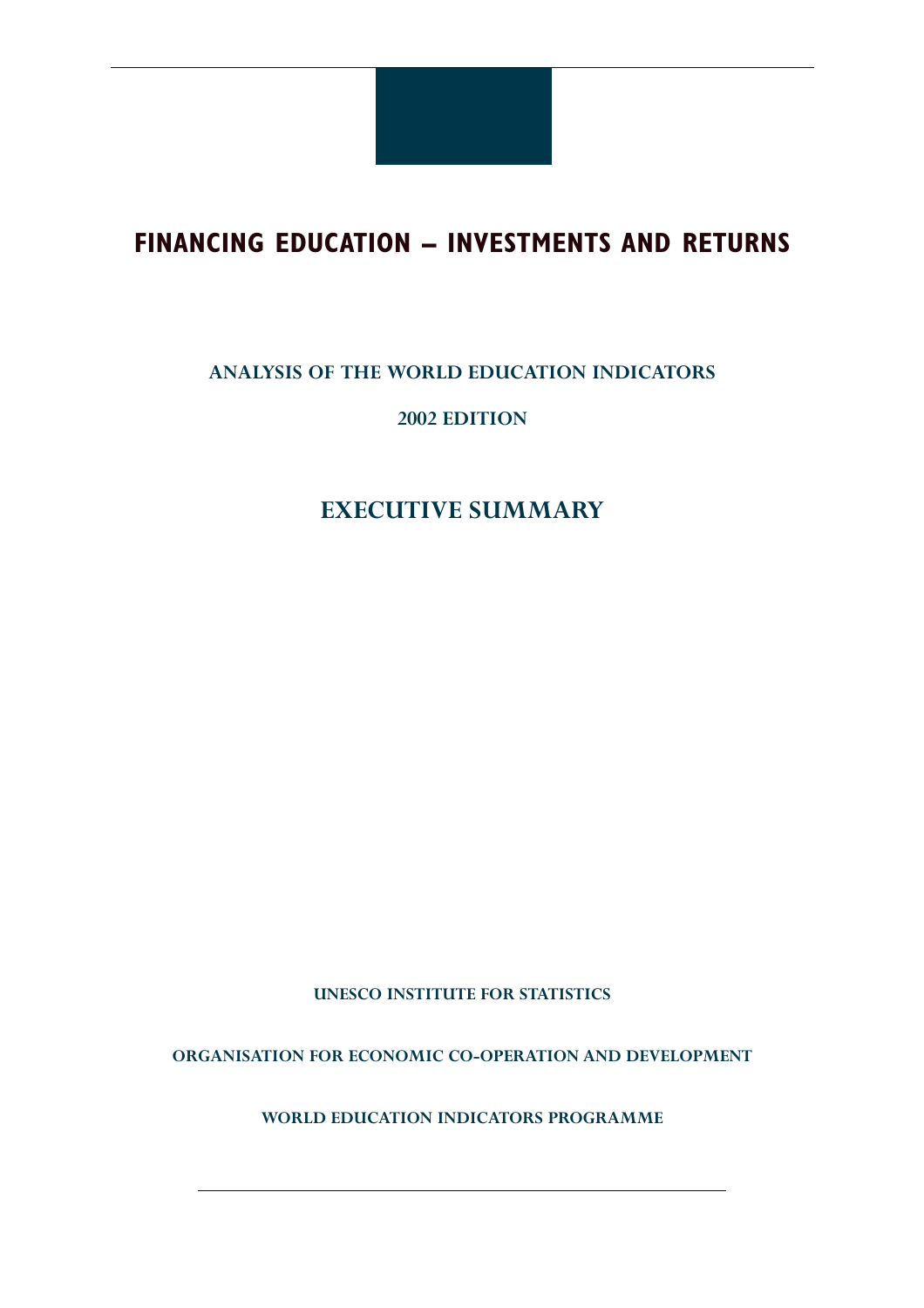# **FINANCING EDUCATION – INVESTMENTS AND RETURNS**

# **ANALYSIS OF THE WORLD EDUCATION INDICATORS**

# **2002 EDITION**

# **EXECUTIVE SUMMARY**

**UNESCO INSTITUTE FOR STATISTICS**

**ORGANISATION FOR ECONOMIC CO-OPERATION AND DEVELOPMENT**

**WORLD EDUCATION INDICATORS PROGRAMME**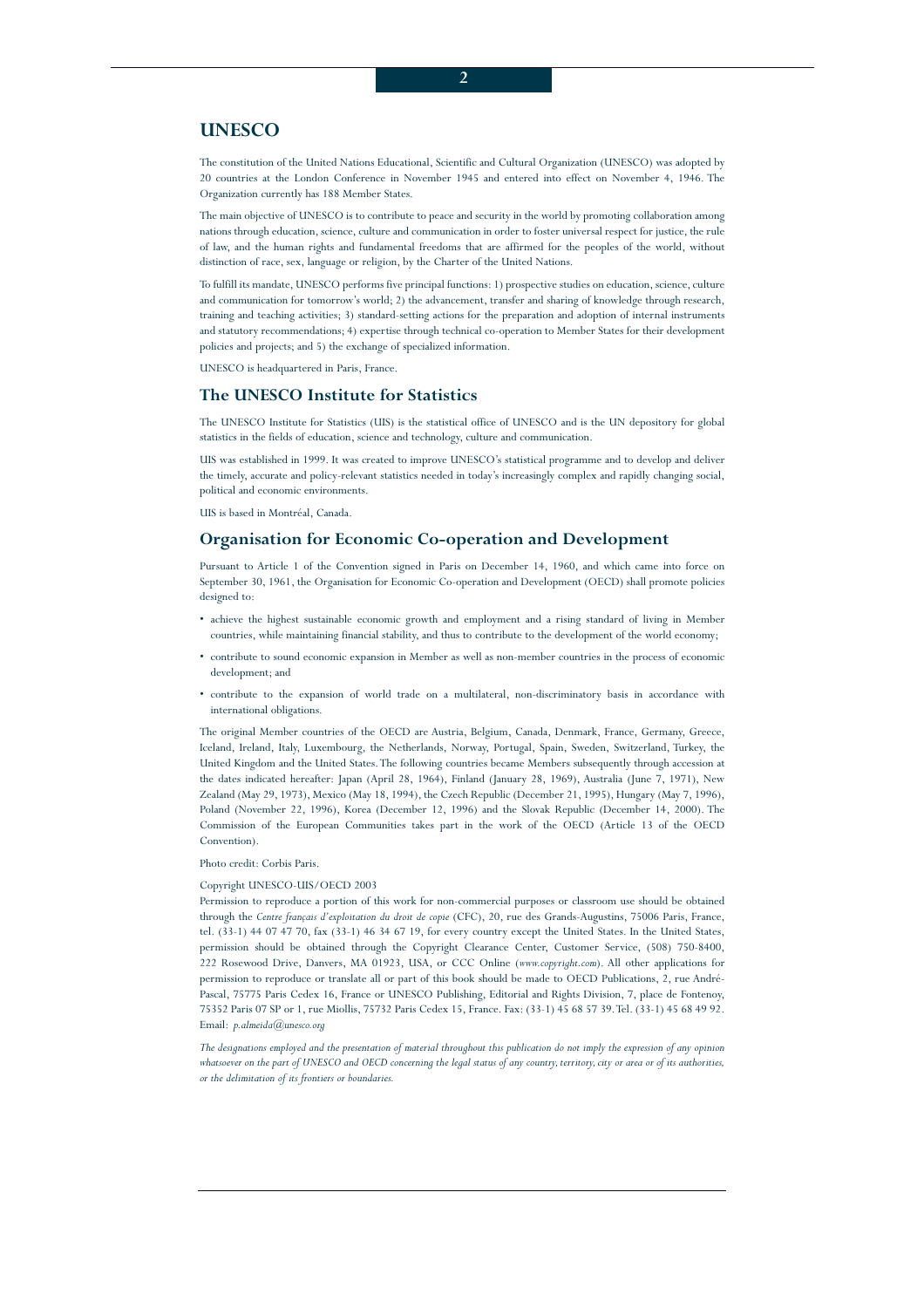The constitution of the United Nations Educational, Scientific and Cultural Organization (UNESCO) was adopted by 20 countries at the London Conference in November 1945 and entered into effect on November 4, 1946. The Organization currently has 188 Member States.

The main objective of UNESCO is to contribute to peace and security in the world by promoting collaboration among nations through education, science, culture and communication in order to foster universal respect for justice, the rule of law, and the human rights and fundamental freedoms that are affirmed for the peoples of the world, without distinction of race, sex, language or religion, by the Charter of the United Nations.

To fulfill its mandate, UNESCO performs five principal functions: 1) prospective studies on education, science, culture and communication for tomorrow's world; 2) the advancement, transfer and sharing of knowledge through research, training and teaching activities; 3) standard-setting actions for the preparation and adoption of internal instruments and statutory recommendations; 4) expertise through technical co-operation to Member States for their development policies and projects; and 5) the exchange of specialized information.

UNESCO is headquartered in Paris, France.

#### **The UNESCO Institute for Statistics**

The UNESCO Institute for Statistics (UIS) is the statistical office of UNESCO and is the UN depository for global statistics in the fields of education, science and technology, culture and communication.

UIS was established in 1999. It was created to improve UNESCO's statistical programme and to develop and deliver the timely, accurate and policy-relevant statistics needed in today's increasingly complex and rapidly changing social, political and economic environments.

UIS is based in Montréal, Canada.

### **Organisation for Economic Co-operation and Development**

Pursuant to Article 1 of the Convention signed in Paris on December 14, 1960, and which came into force on September 30, 1961, the Organisation for Economic Co-operation and Development (OECD) shall promote policies designed to:

- achieve the highest sustainable economic growth and employment and a rising standard of living in Member countries, while maintaining financial stability, and thus to contribute to the development of the world economy;
- contribute to sound economic expansion in Member as well as non-member countries in the process of economic development; and
- contribute to the expansion of world trade on a multilateral, non-discriminatory basis in accordance with international obligations.

The original Member countries of the OECD are Austria, Belgium, Canada, Denmark, France, Germany, Greece, Iceland, Ireland, Italy, Luxembourg, the Netherlands, Norway, Portugal, Spain, Sweden, Switzerland, Turkey, the United Kingdom and the United States.The following countries became Members subsequently through accession at the dates indicated hereafter: Japan (April 28, 1964), Finland (January 28, 1969), Australia (June 7, 1971), New Zealand (May 29, 1973), Mexico (May 18, 1994), the Czech Republic (December 21, 1995), Hungary (May 7, 1996), Poland (November 22, 1996), Korea (December 12, 1996) and the Slovak Republic (December 14, 2000). The Commission of the European Communities takes part in the work of the OECD (Article 13 of the OECD Convention).

#### Photo credit: Corbis Paris.

#### Copyright UNESCO-UIS/OECD 2003

Permission to reproduce a portion of this work for non-commercial purposes or classroom use should be obtained through the *Centre français d'exploitation du droit de copie* (CFC), 20, rue des Grands-Augustins, 75006 Paris, France, tel. (33-1) 44 07 47 70, fax (33-1) 46 34 67 19, for every country except the United States. In the United States, permission should be obtained through the Copyright Clearance Center, Customer Service, (508) 750-8400, 222 Rosewood Drive, Danvers, MA 01923, USA, or CCC Online (*www.copyright.com*). All other applications for permission to reproduce or translate all or part of this book should be made to OECD Publications, 2, rue André-Pascal, 75775 Paris Cedex 16, France or UNESCO Publishing, Editorial and Rights Division, 7, place de Fontenoy, 75352 Paris 07 SP or 1, rue Miollis, 75732 Paris Cedex 15, France. Fax: (33-1) 45 68 57 39.Tel. (33-1) 45 68 49 92. Email: *p.almeida@unesco.org*

*The designations employed and the presentation of material throughout this publication do not imply the expression of any opinion whatsoever on the part of UNESCO and OECD concerning the legal status of any country, territory, city or area or of its authorities, or the delimitation of its frontiers or boundaries.*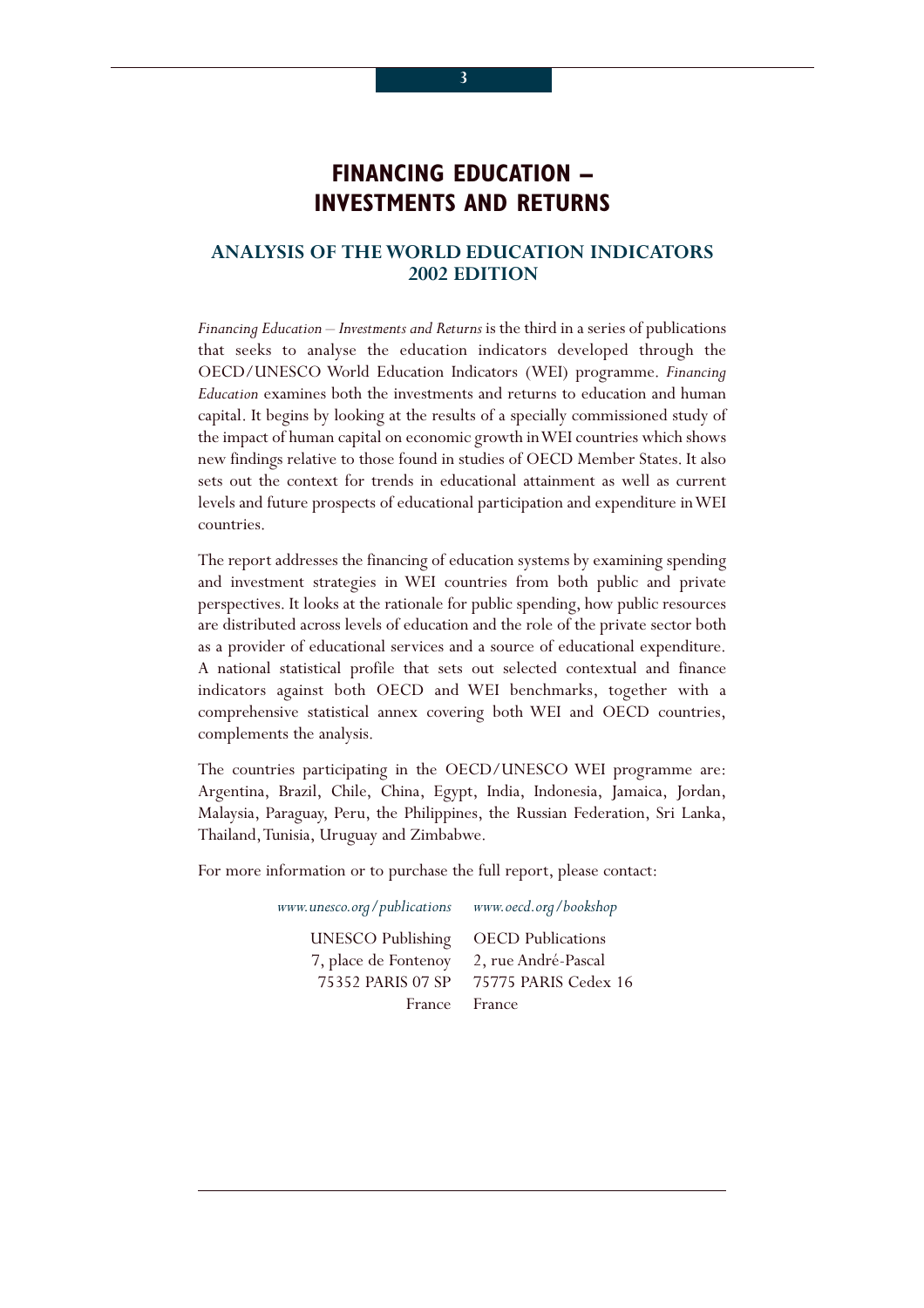# **FINANCING EDUCATION – INVESTMENTS AND RETURNS**

### **ANALYSIS OF THE WORLD EDUCATION INDICATORS 2002 EDITION**

*Financing Education – Investments and Returns* is the third in a series of publications that seeks to analyse the education indicators developed through the OECD/UNESCO World Education Indicators (WEI) programme. *Financing Education* examines both the investments and returns to education and human capital. It begins by looking at the results of a specially commissioned study of the impact of human capital on economic growth in WEI countries which shows new findings relative to those found in studies of OECD Member States. It also sets out the context for trends in educational attainment as well as current levels and future prospects of educational participation and expenditure in WEI countries.

The report addresses the financing of education systems by examining spending and investment strategies in WEI countries from both public and private perspectives. It looks at the rationale for public spending, how public resources are distributed across levels of education and the role of the private sector both as a provider of educational services and a source of educational expenditure. A national statistical profile that sets out selected contextual and finance indicators against both OECD and WEI benchmarks, together with a comprehensive statistical annex covering both WEI and OECD countries, complements the analysis.

The countries participating in the OECD/UNESCO WEI programme are: Argentina, Brazil, Chile, China, Egypt, India, Indonesia, Jamaica, Jordan, Malaysia, Paraguay, Peru, the Philippines, the Russian Federation, Sri Lanka, Thailand,Tunisia, Uruguay and Zimbabwe.

For more information or to purchase the full report, please contact:

*www.unesco.org/publications www.oecd.org/bookshop* UNESCO Publishing OECD Publications 7, place de Fontenoy 2, rue André-Pascal 75352 PARIS 07 SP 75775 PARIS Cedex 16 France France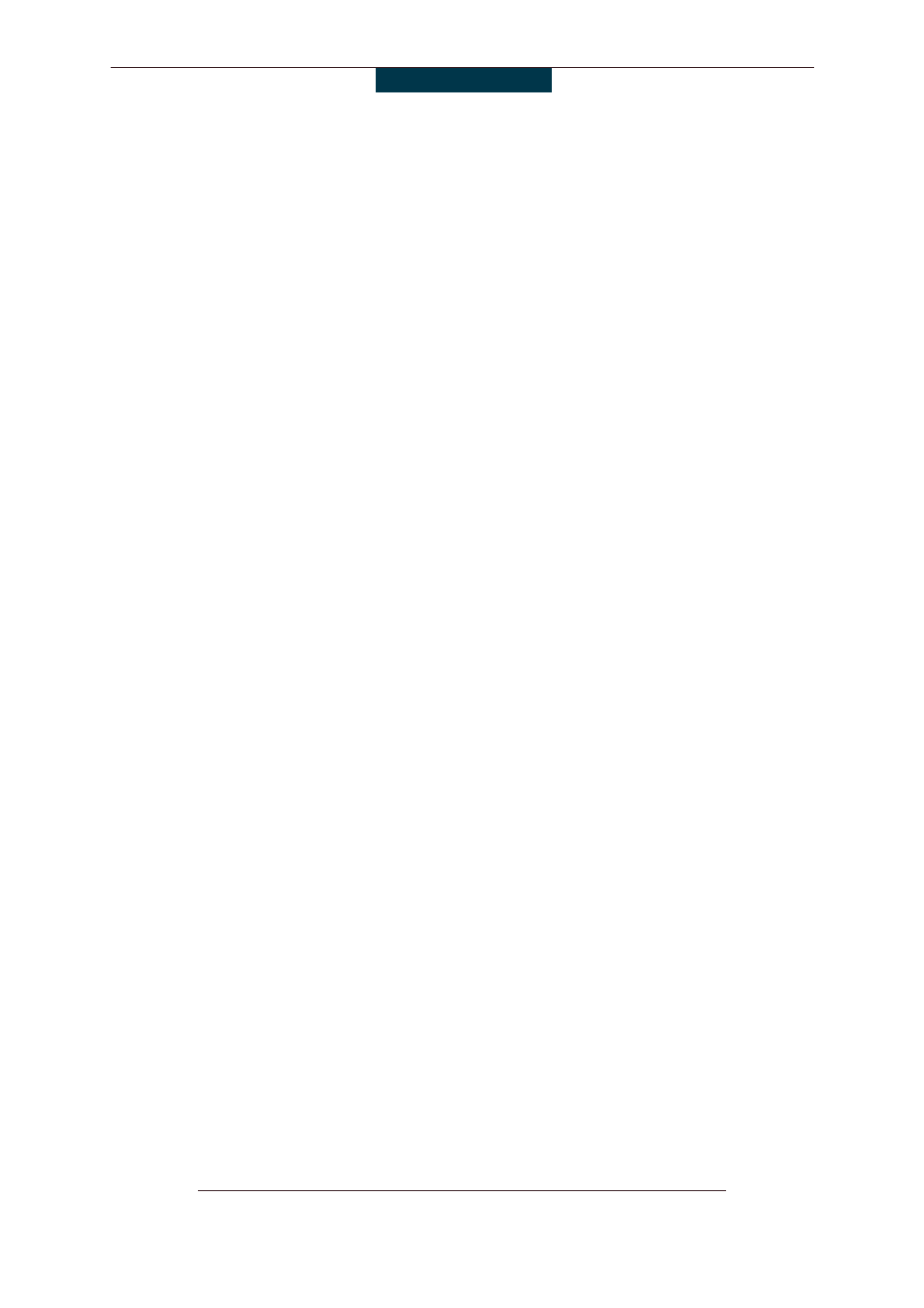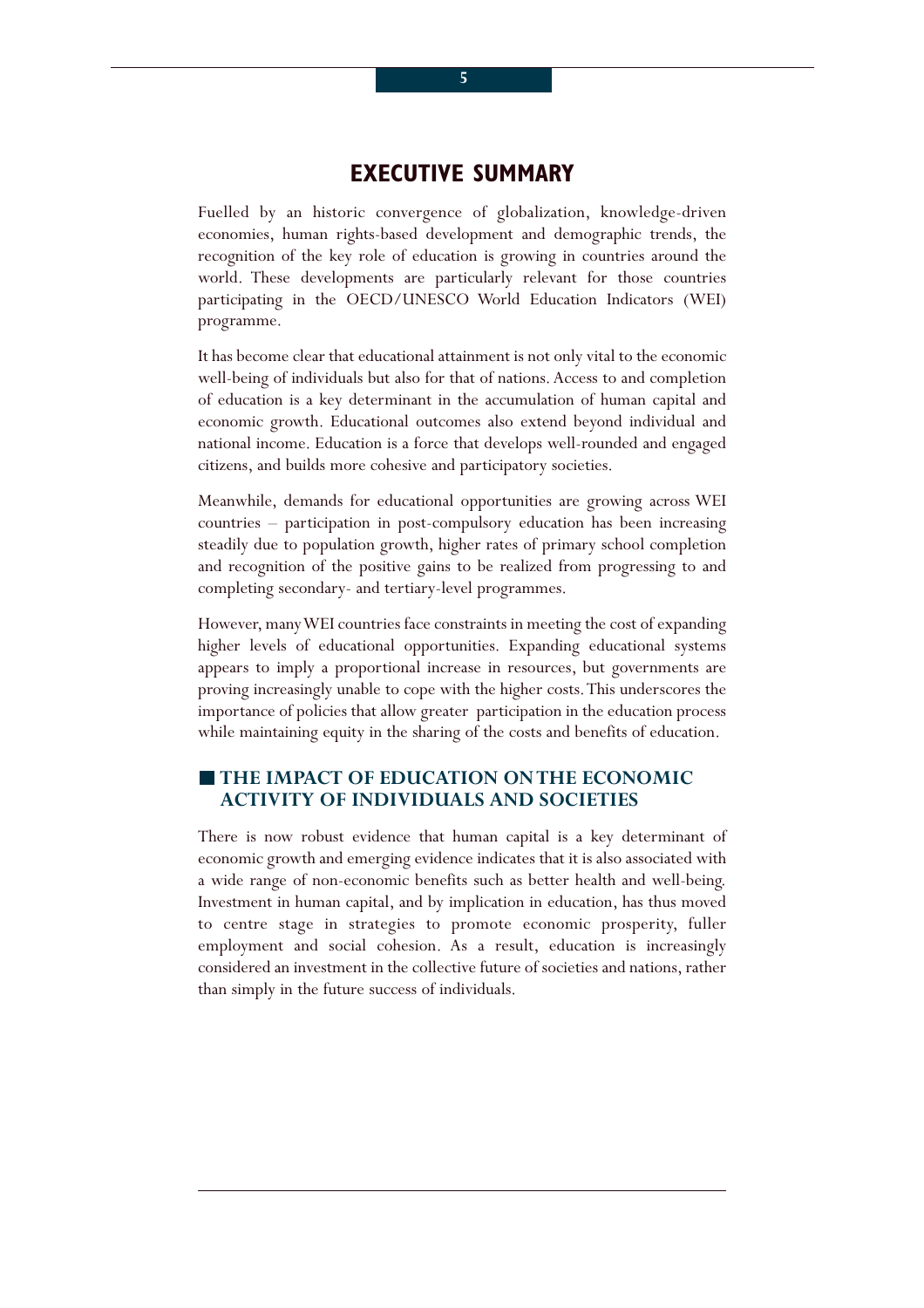# **EXECUTIVE SUMMARY**

Fuelled by an historic convergence of globalization, knowledge-driven economies, human rights-based development and demographic trends, the recognition of the key role of education is growing in countries around the world. These developments are particularly relevant for those countries participating in the OECD/UNESCO World Education Indicators (WEI) programme.

It has become clear that educational attainment is not only vital to the economic well-being of individuals but also for that of nations. Access to and completion of education is a key determinant in the accumulation of human capital and economic growth. Educational outcomes also extend beyond individual and national income. Education is a force that develops well-rounded and engaged citizens, and builds more cohesive and participatory societies.

Meanwhile, demands for educational opportunities are growing across WEI countries – participation in post-compulsory education has been increasing steadily due to population growth, higher rates of primary school completion and recognition of the positive gains to be realized from progressing to and completing secondary- and tertiary-level programmes.

However, many WEI countries face constraints in meeting the cost of expanding higher levels of educational opportunities. Expanding educational systems appears to imply a proportional increase in resources, but governments are proving increasingly unable to cope with the higher costs.This underscores the importance of policies that allow greater participation in the education process while maintaining equity in the sharing of the costs and benefits of education.

### **THE IMPACT OF EDUCATION ON THE ECONOMIC ACTIVITY OF INDIVIDUALS AND SOCIETIES**

There is now robust evidence that human capital is a key determinant of economic growth and emerging evidence indicates that it is also associated with a wide range of non-economic benefits such as better health and well-being. Investment in human capital, and by implication in education, has thus moved to centre stage in strategies to promote economic prosperity, fuller employment and social cohesion. As a result, education is increasingly considered an investment in the collective future of societies and nations, rather than simply in the future success of individuals.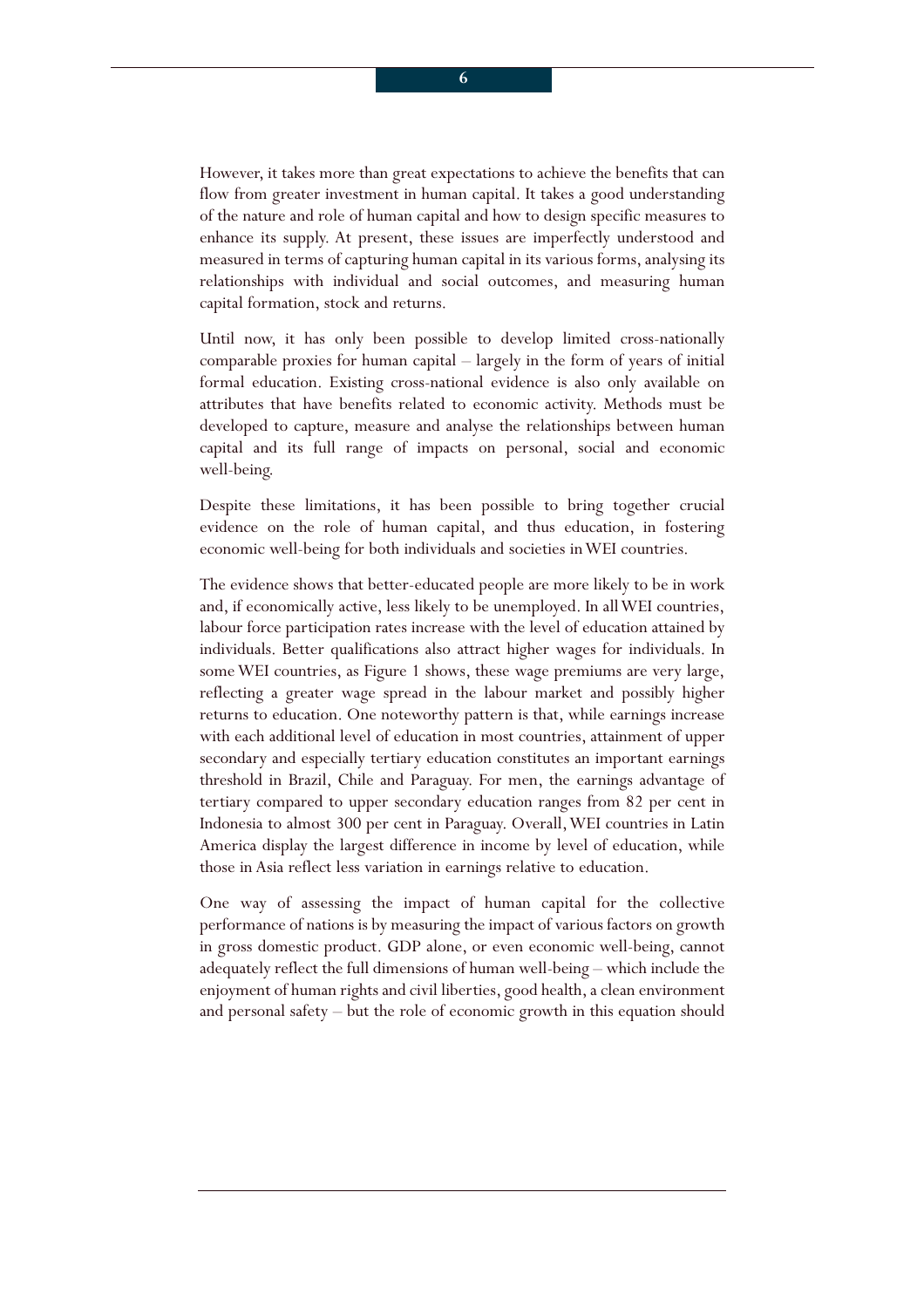However, it takes more than great expectations to achieve the benefits that can flow from greater investment in human capital. It takes a good understanding of the nature and role of human capital and how to design specific measures to enhance its supply. At present, these issues are imperfectly understood and measured in terms of capturing human capital in its various forms, analysing its relationships with individual and social outcomes, and measuring human capital formation, stock and returns.

Until now, it has only been possible to develop limited cross-nationally comparable proxies for human capital – largely in the form of years of initial formal education. Existing cross-national evidence is also only available on attributes that have benefits related to economic activity. Methods must be developed to capture, measure and analyse the relationships between human capital and its full range of impacts on personal, social and economic well-being.

Despite these limitations, it has been possible to bring together crucial evidence on the role of human capital, and thus education, in fostering economic well-being for both individuals and societies in WEI countries.

The evidence shows that better-educated people are more likely to be in work and, if economically active, less likely to be unemployed. In all WEI countries, labour force participation rates increase with the level of education attained by individuals. Better qualifications also attract higher wages for individuals. In some WEI countries, as Figure 1 shows, these wage premiums are very large, reflecting a greater wage spread in the labour market and possibly higher returns to education. One noteworthy pattern is that, while earnings increase with each additional level of education in most countries, attainment of upper secondary and especially tertiary education constitutes an important earnings threshold in Brazil, Chile and Paraguay. For men, the earnings advantage of tertiary compared to upper secondary education ranges from 82 per cent in Indonesia to almost 300 per cent in Paraguay. Overall,WEI countries in Latin America display the largest difference in income by level of education, while those in Asia reflect less variation in earnings relative to education.

One way of assessing the impact of human capital for the collective performance of nations is by measuring the impact of various factors on growth in gross domestic product. GDP alone, or even economic well-being, cannot adequately reflect the full dimensions of human well-being – which include the enjoyment of human rights and civil liberties, good health, a clean environment and personal safety – but the role of economic growth in this equation should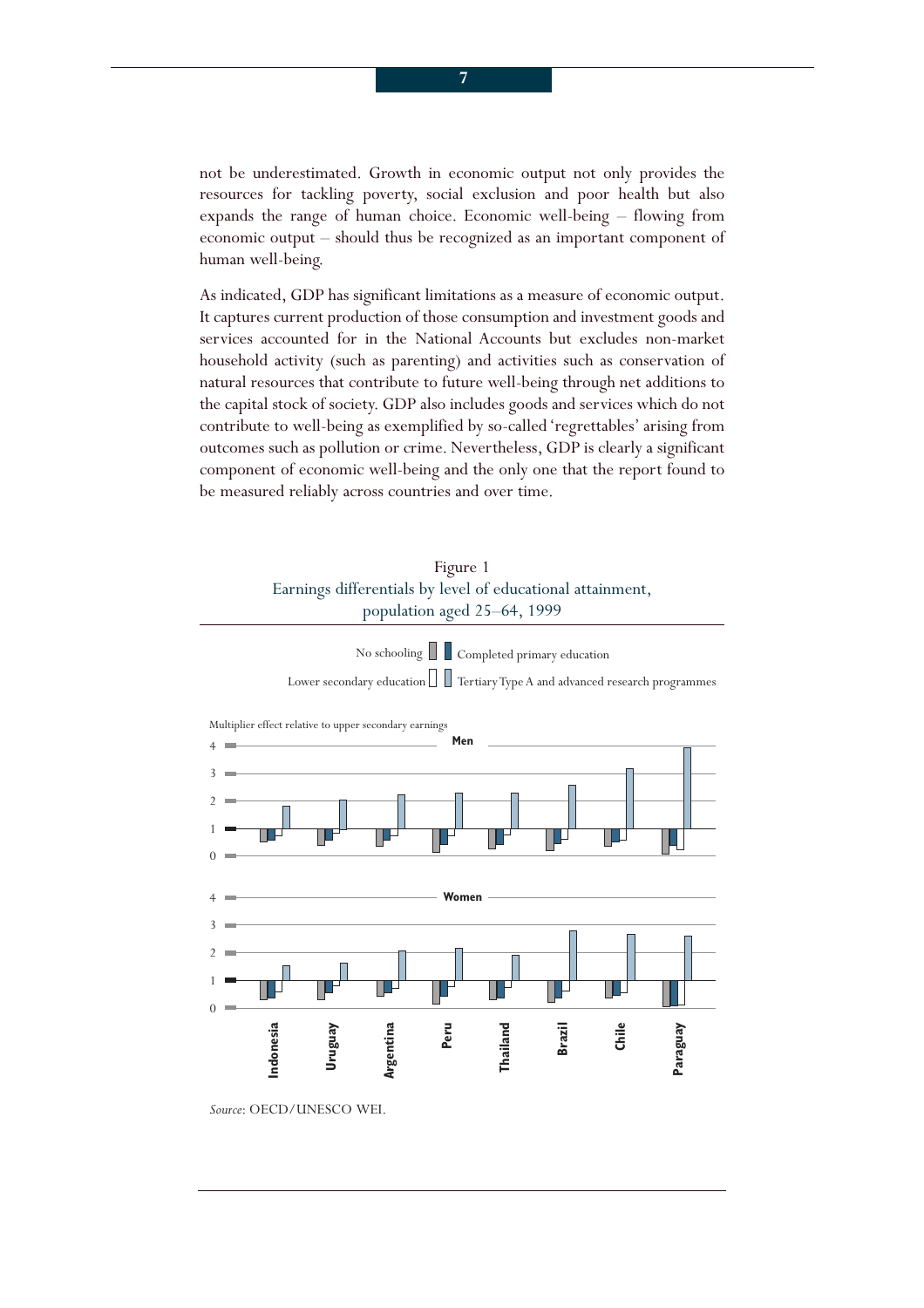not be underestimated. Growth in economic output not only provides the resources for tackling poverty, social exclusion and poor health but also expands the range of human choice. Economic well-being – flowing from economic output – should thus be recognized as an important component of human well-being.

As indicated, GDP has significant limitations as a measure of economic output. It captures current production of those consumption and investment goods and services accounted for in the National Accounts but excludes non-market household activity (such as parenting) and activities such as conservation of natural resources that contribute to future well-being through net additions to the capital stock of society. GDP also includes goods and services which do not contribute to well-being as exemplified by so-called 'regrettables' arising from outcomes such as pollution or crime. Nevertheless, GDP is clearly a significant component of economic well-being and the only one that the report found to be measured reliably across countries and over time.



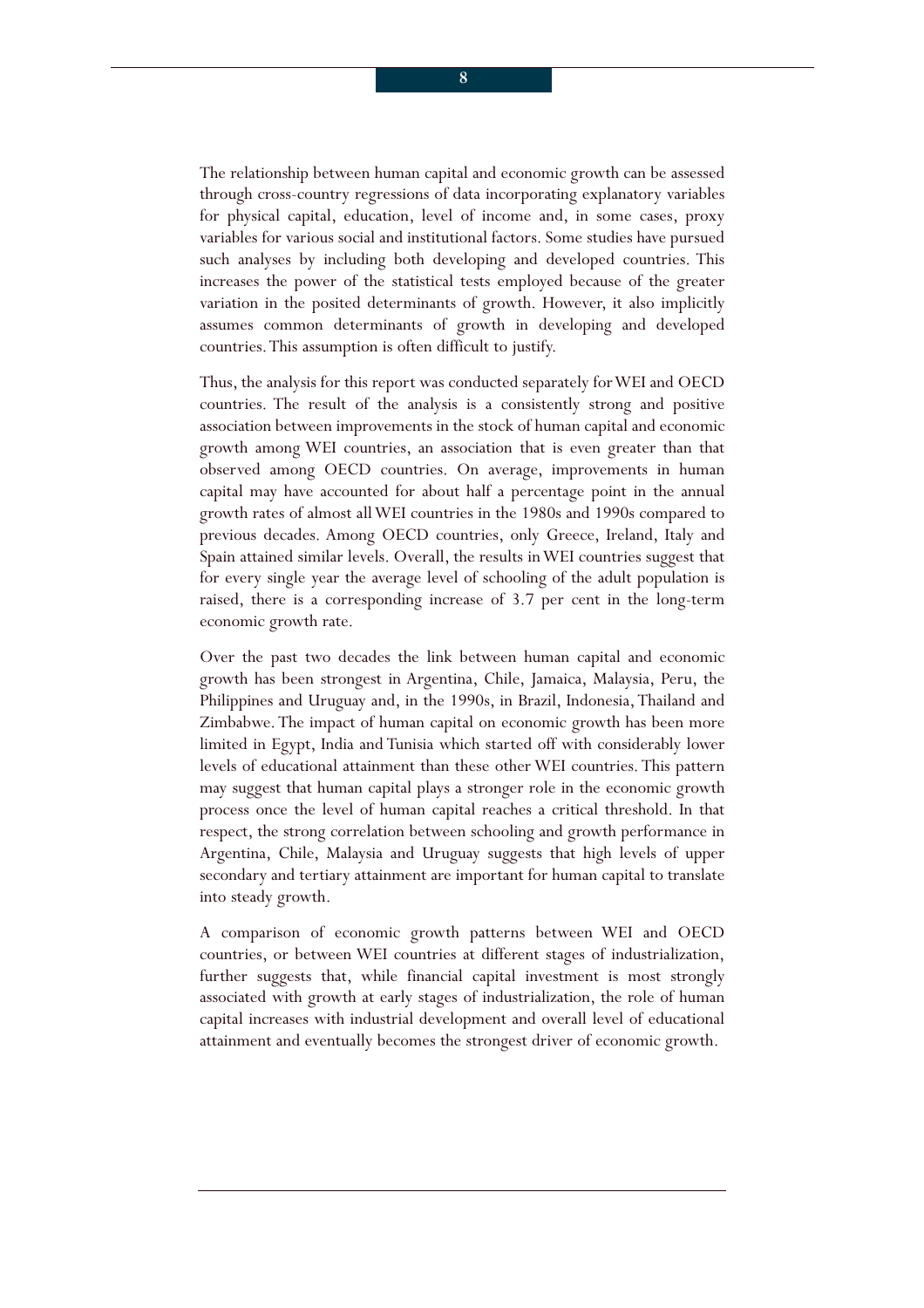The relationship between human capital and economic growth can be assessed through cross-country regressions of data incorporating explanatory variables for physical capital, education, level of income and, in some cases, proxy variables for various social and institutional factors. Some studies have pursued such analyses by including both developing and developed countries. This increases the power of the statistical tests employed because of the greater variation in the posited determinants of growth. However, it also implicitly assumes common determinants of growth in developing and developed countries.This assumption is often difficult to justify.

Thus, the analysis for this report was conducted separately for WEI and OECD countries. The result of the analysis is a consistently strong and positive association between improvements in the stock of human capital and economic growth among WEI countries, an association that is even greater than that observed among OECD countries. On average, improvements in human capital may have accounted for about half a percentage point in the annual growth rates of almost all WEI countries in the 1980s and 1990s compared to previous decades. Among OECD countries, only Greece, Ireland, Italy and Spain attained similar levels. Overall, the results in WEI countries suggest that for every single year the average level of schooling of the adult population is raised, there is a corresponding increase of 3.7 per cent in the long-term economic growth rate.

Over the past two decades the link between human capital and economic growth has been strongest in Argentina, Chile, Jamaica, Malaysia, Peru, the Philippines and Uruguay and, in the 1990s, in Brazil, Indonesia, Thailand and Zimbabwe. The impact of human capital on economic growth has been more limited in Egypt, India and Tunisia which started off with considerably lower levels of educational attainment than these other WEI countries. This pattern may suggest that human capital plays a stronger role in the economic growth process once the level of human capital reaches a critical threshold. In that respect, the strong correlation between schooling and growth performance in Argentina, Chile, Malaysia and Uruguay suggests that high levels of upper secondary and tertiary attainment are important for human capital to translate into steady growth.

A comparison of economic growth patterns between WEI and OECD countries, or between WEI countries at different stages of industrialization, further suggests that, while financial capital investment is most strongly associated with growth at early stages of industrialization, the role of human capital increases with industrial development and overall level of educational attainment and eventually becomes the strongest driver of economic growth.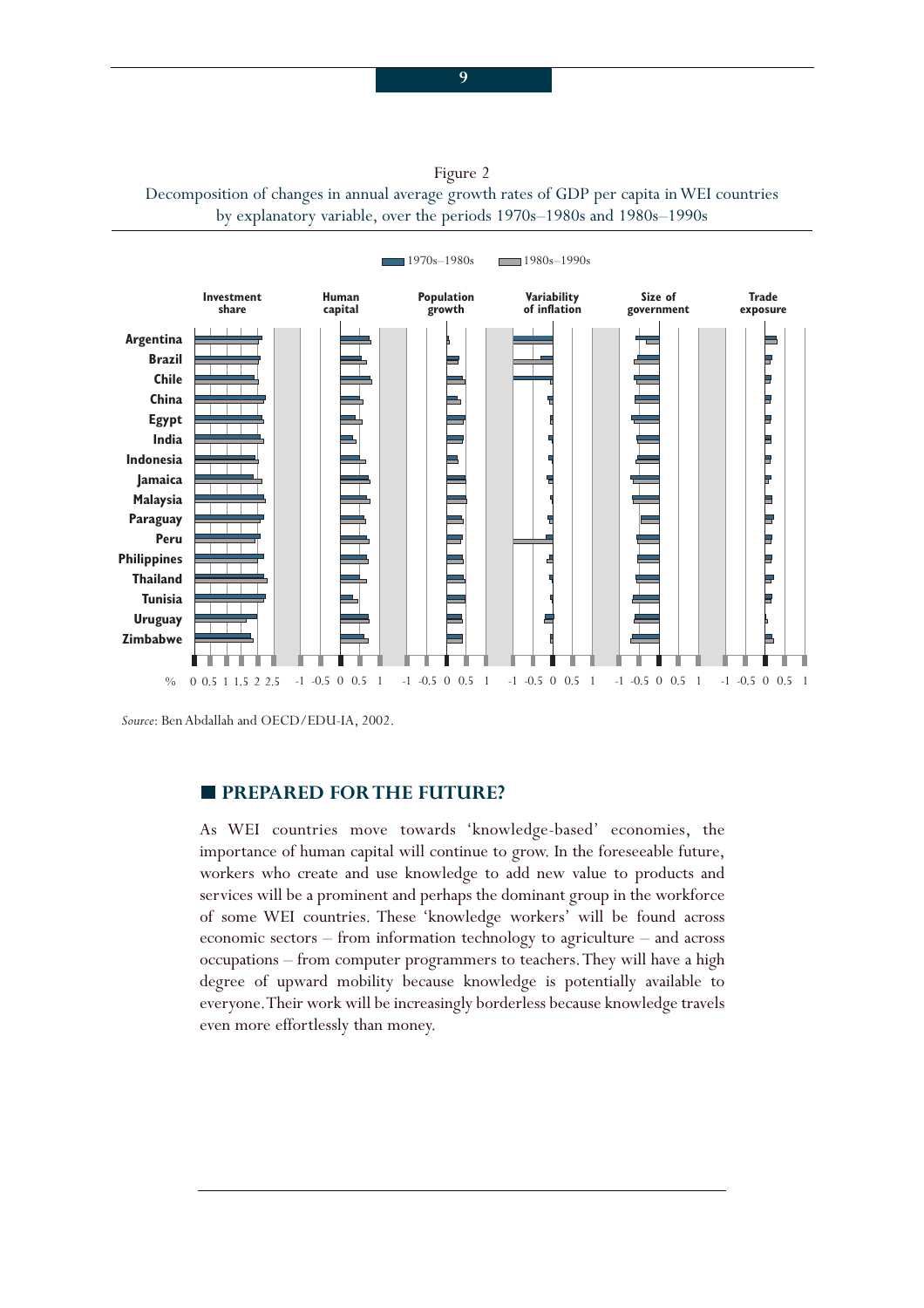



*Source*: Ben Abdallah and OECD/EDU-IA, 2002.

### **PREPARED FOR THE FUTURE?**

As WEI countries move towards 'knowledge-based' economies, the importance of human capital will continue to grow. In the foreseeable future, workers who create and use knowledge to add new value to products and services will be a prominent and perhaps the dominant group in the workforce of some WEI countries. These 'knowledge workers' will be found across economic sectors – from information technology to agriculture – and across occupations – from computer programmers to teachers.They will have a high degree of upward mobility because knowledge is potentially available to everyone.Their work will be increasingly borderless because knowledge travels even more effortlessly than money.

**9**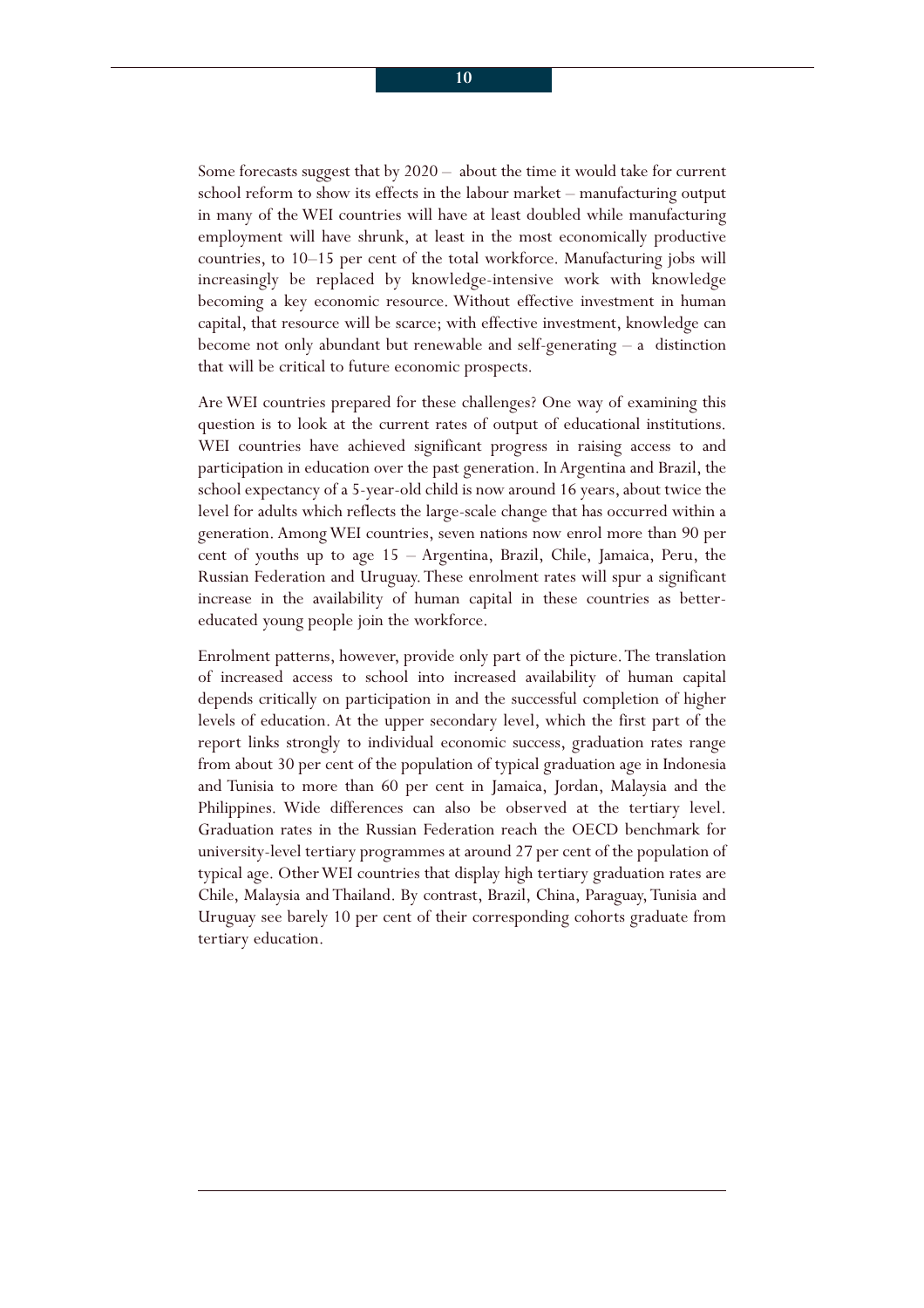Some forecasts suggest that by 2020 – about the time it would take for current school reform to show its effects in the labour market – manufacturing output in many of the WEI countries will have at least doubled while manufacturing employment will have shrunk, at least in the most economically productive countries, to 10–15 per cent of the total workforce. Manufacturing jobs will increasingly be replaced by knowledge-intensive work with knowledge becoming a key economic resource. Without effective investment in human capital, that resource will be scarce; with effective investment, knowledge can become not only abundant but renewable and self-generating – a distinction that will be critical to future economic prospects.

Are WEI countries prepared for these challenges? One way of examining this question is to look at the current rates of output of educational institutions. WEI countries have achieved significant progress in raising access to and participation in education over the past generation. In Argentina and Brazil, the school expectancy of a 5-year-old child is now around 16 years, about twice the level for adults which reflects the large-scale change that has occurred within a generation. Among WEI countries, seven nations now enrol more than 90 per cent of youths up to age 15 – Argentina, Brazil, Chile, Jamaica, Peru, the Russian Federation and Uruguay. These enrolment rates will spur a significant increase in the availability of human capital in these countries as bettereducated young people join the workforce.

Enrolment patterns, however, provide only part of the picture.The translation of increased access to school into increased availability of human capital depends critically on participation in and the successful completion of higher levels of education. At the upper secondary level, which the first part of the report links strongly to individual economic success, graduation rates range from about 30 per cent of the population of typical graduation age in Indonesia and Tunisia to more than 60 per cent in Jamaica, Jordan, Malaysia and the Philippines. Wide differences can also be observed at the tertiary level. Graduation rates in the Russian Federation reach the OECD benchmark for university-level tertiary programmes at around 27 per cent of the population of typical age. Other WEI countries that display high tertiary graduation rates are Chile, Malaysia and Thailand. By contrast, Brazil, China, Paraguay, Tunisia and Uruguay see barely 10 per cent of their corresponding cohorts graduate from tertiary education.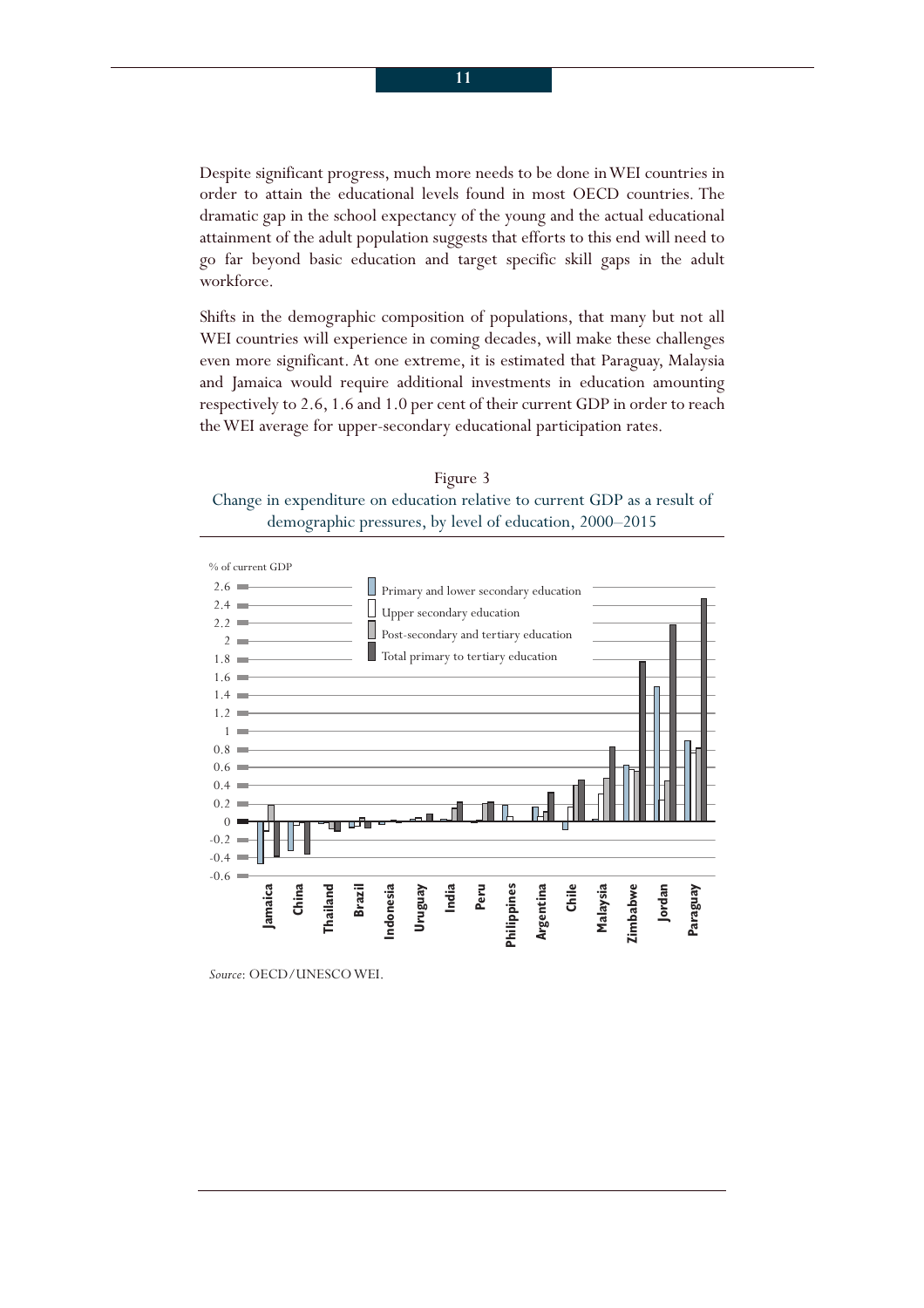Despite significant progress, much more needs to be done in WEI countries in order to attain the educational levels found in most OECD countries. The dramatic gap in the school expectancy of the young and the actual educational attainment of the adult population suggests that efforts to this end will need to go far beyond basic education and target specific skill gaps in the adult workforce.

Shifts in the demographic composition of populations, that many but not all WEI countries will experience in coming decades, will make these challenges even more significant. At one extreme, it is estimated that Paraguay, Malaysia and Jamaica would require additional investments in education amounting respectively to 2.6, 1.6 and 1.0 per cent of their current GDP in order to reach the WEI average for upper-secondary educational participation rates.





*Source*: OECD/UNESCO WEI.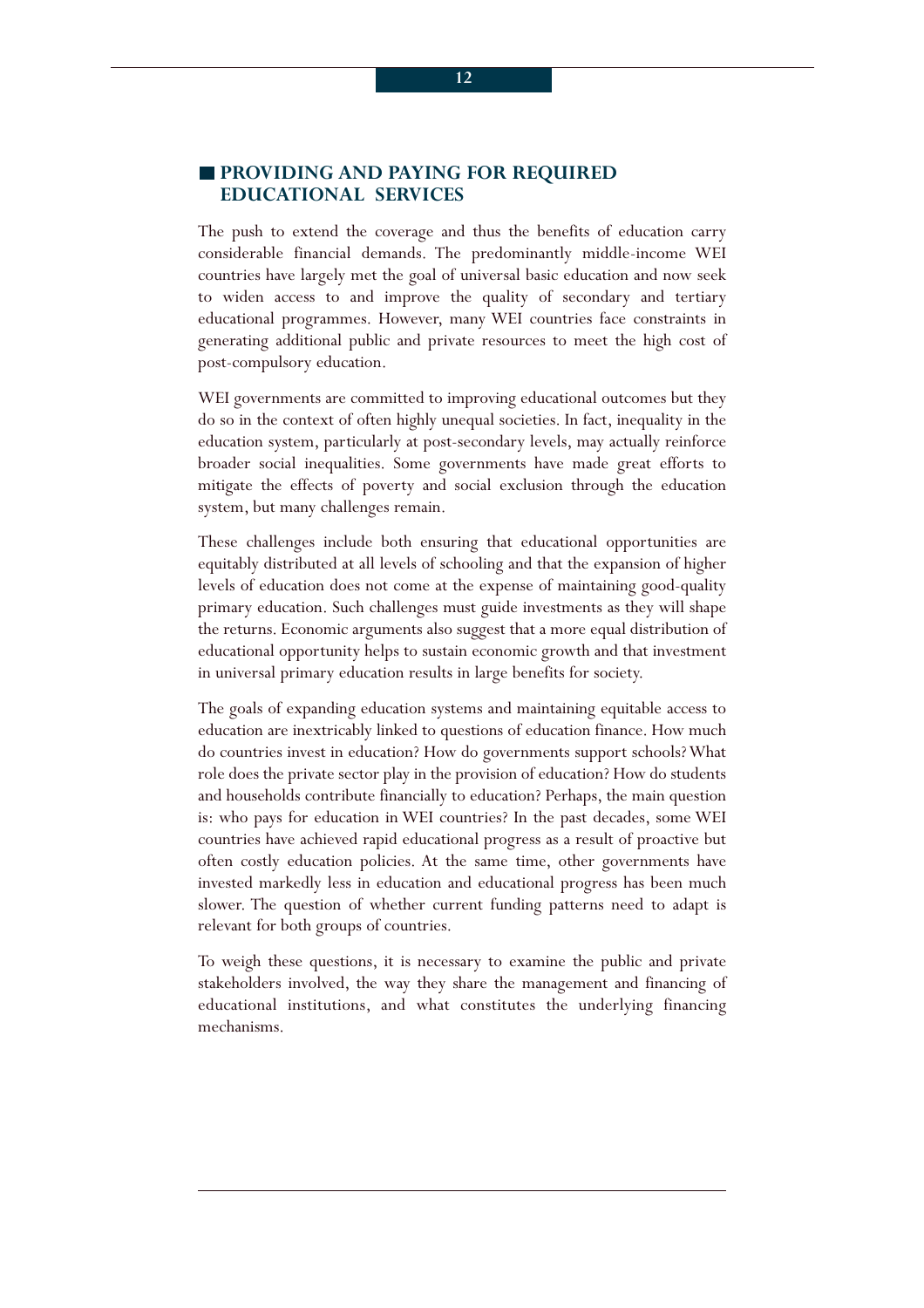### **PROVIDING AND PAYING FOR REQUIRED EDUCATIONAL SERVICES**

The push to extend the coverage and thus the benefits of education carry considerable financial demands. The predominantly middle-income WEI countries have largely met the goal of universal basic education and now seek to widen access to and improve the quality of secondary and tertiary educational programmes. However, many WEI countries face constraints in generating additional public and private resources to meet the high cost of post-compulsory education.

WEI governments are committed to improving educational outcomes but they do so in the context of often highly unequal societies. In fact, inequality in the education system, particularly at post-secondary levels, may actually reinforce broader social inequalities. Some governments have made great efforts to mitigate the effects of poverty and social exclusion through the education system, but many challenges remain.

These challenges include both ensuring that educational opportunities are equitably distributed at all levels of schooling and that the expansion of higher levels of education does not come at the expense of maintaining good-quality primary education. Such challenges must guide investments as they will shape the returns. Economic arguments also suggest that a more equal distribution of educational opportunity helps to sustain economic growth and that investment in universal primary education results in large benefits for society.

The goals of expanding education systems and maintaining equitable access to education are inextricably linked to questions of education finance. How much do countries invest in education? How do governments support schools? What role does the private sector play in the provision of education? How do students and households contribute financially to education? Perhaps, the main question is: who pays for education in WEI countries? In the past decades, some WEI countries have achieved rapid educational progress as a result of proactive but often costly education policies. At the same time, other governments have invested markedly less in education and educational progress has been much slower. The question of whether current funding patterns need to adapt is relevant for both groups of countries.

To weigh these questions, it is necessary to examine the public and private stakeholders involved, the way they share the management and financing of educational institutions, and what constitutes the underlying financing mechanisms.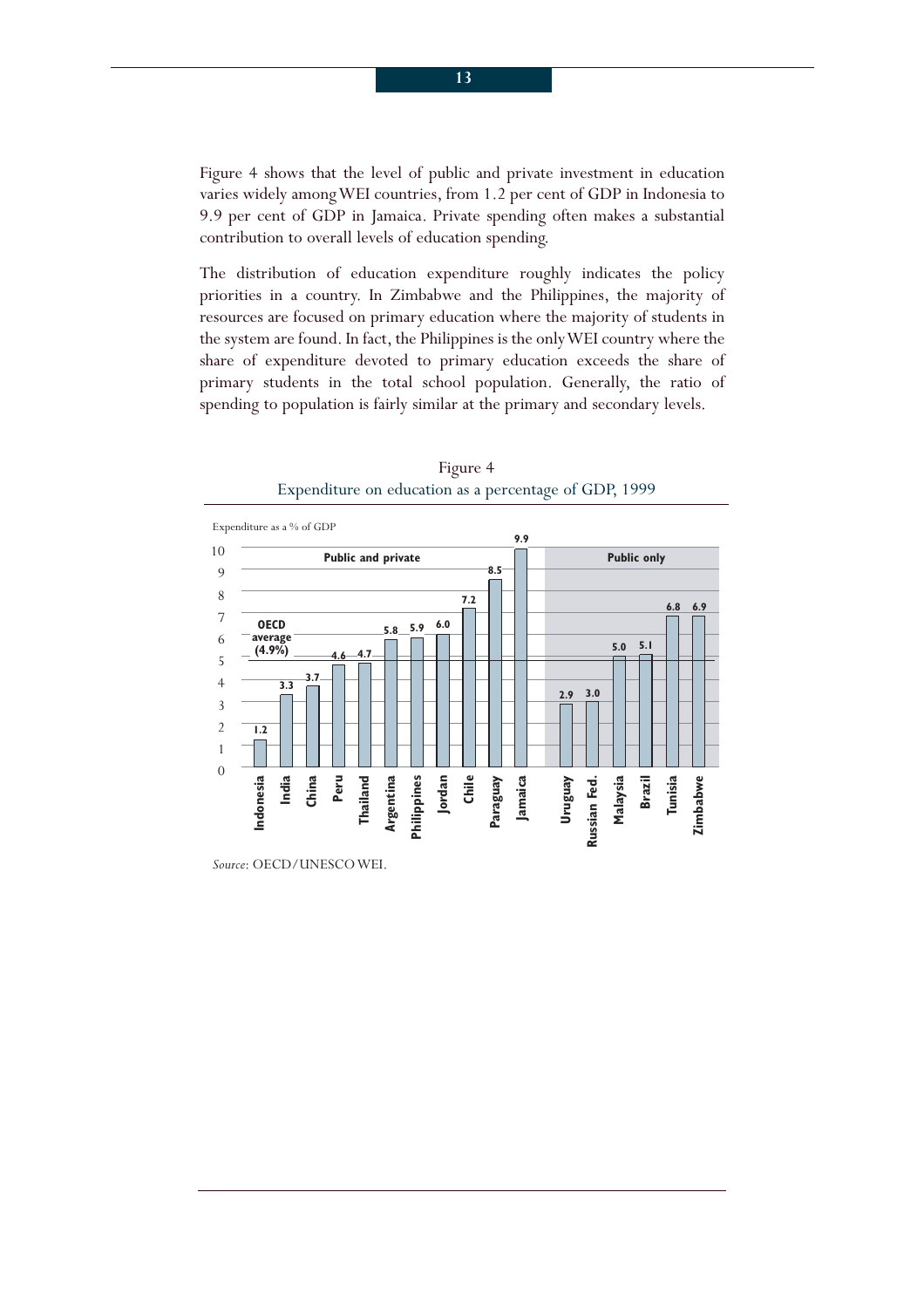Figure 4 shows that the level of public and private investment in education varies widely among WEI countries, from 1.2 per cent of GDP in Indonesia to 9.9 per cent of GDP in Jamaica. Private spending often makes a substantial contribution to overall levels of education spending.

The distribution of education expenditure roughly indicates the policy priorities in a country. In Zimbabwe and the Philippines, the majority of resources are focused on primary education where the majority of students in the system are found. In fact, the Philippines is the only WEI country where the share of expenditure devoted to primary education exceeds the share of primary students in the total school population. Generally, the ratio of spending to population is fairly similar at the primary and secondary levels.



Figure 4 Figure 4 Expenditure on education as a percentage of GDP, 1999 Expenditure on education as a percentage of GDP, 1999

*Source*: OECD/UNESCO WEI.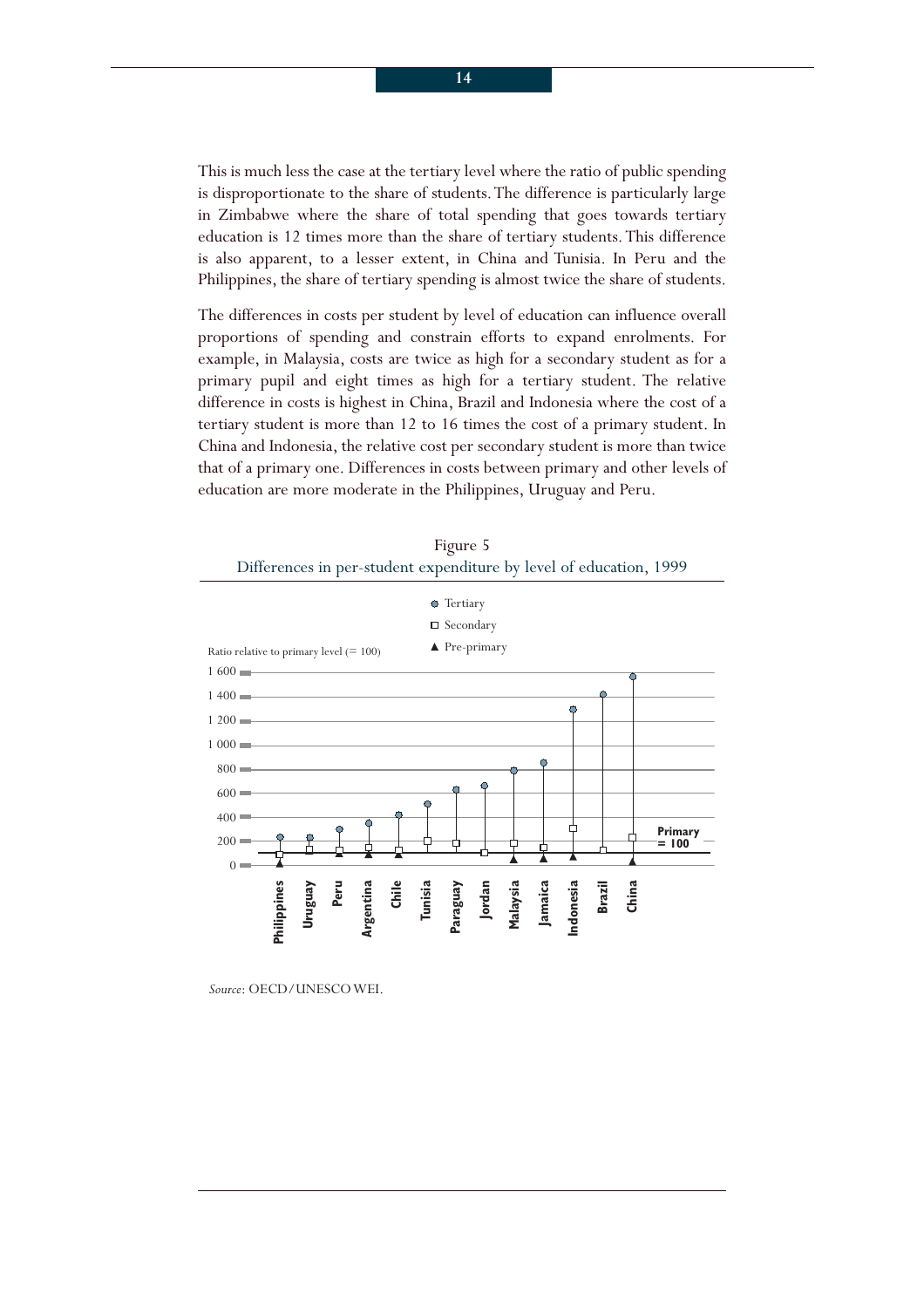This is much less the case at the tertiary level where the ratio of public spending is disproportionate to the share of students.The difference is particularly large in Zimbabwe where the share of total spending that goes towards tertiary education is 12 times more than the share of tertiary students. This difference is also apparent, to a lesser extent, in China and Tunisia. In Peru and the Philippines, the share of tertiary spending is almost twice the share of students.

The differences in costs per student by level of education can influence overall proportions of spending and constrain efforts to expand enrolments. For example, in Malaysia, costs are twice as high for a secondary student as for a primary pupil and eight times as high for a tertiary student. The relative difference in costs is highest in China, Brazil and Indonesia where the cost of a tertiary student is more than 12 to 16 times the cost of a primary student. In China and Indonesia, the relative cost per secondary student is more than twice that of a primary one. Differences in costs between primary and other levels of education are more moderate in the Philippines, Uruguay and Peru.



Figure 5 Figure 5

*Source*: OECD/UNESCO WEI.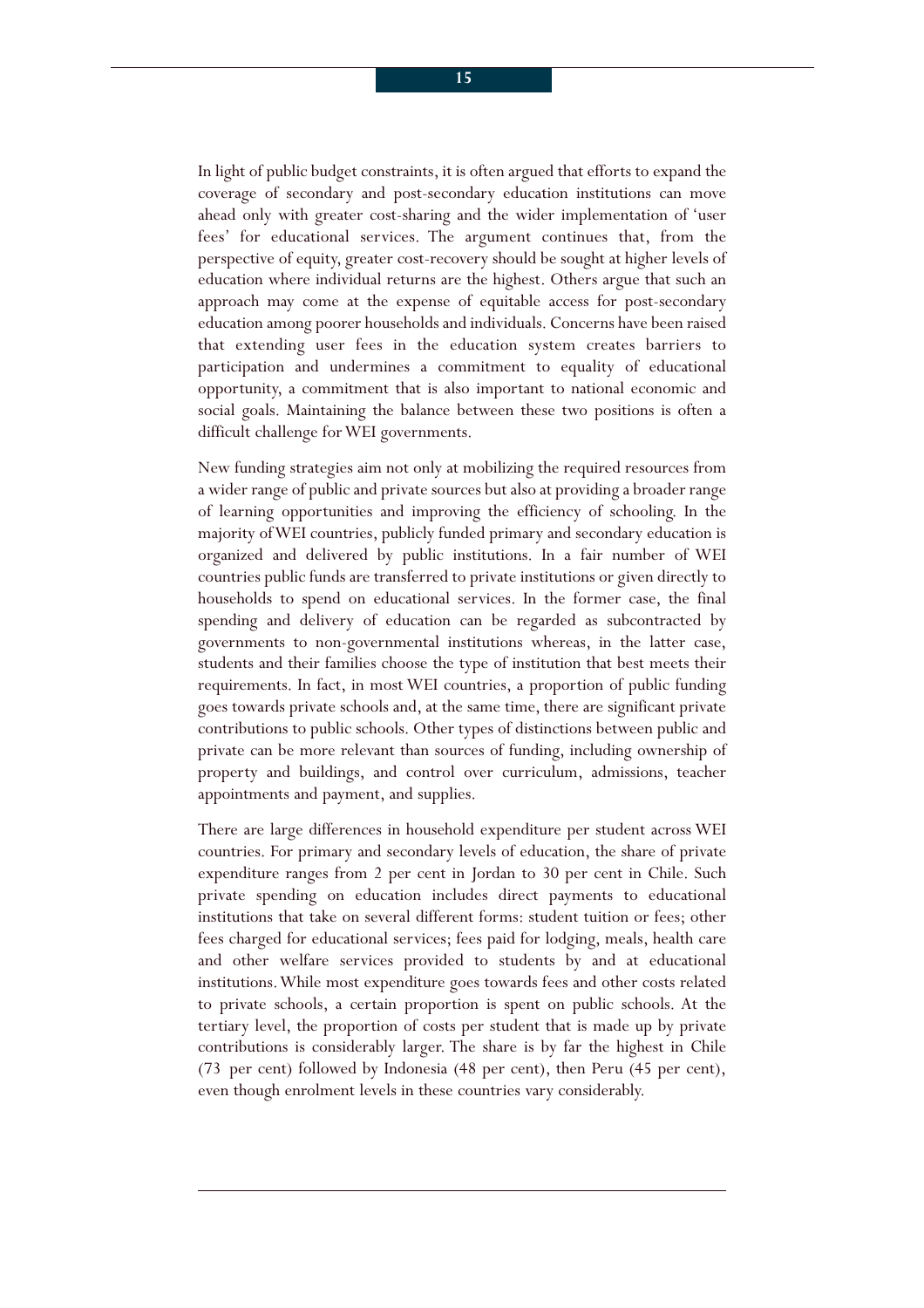In light of public budget constraints, it is often argued that efforts to expand the coverage of secondary and post-secondary education institutions can move ahead only with greater cost-sharing and the wider implementation of 'user fees' for educational services. The argument continues that, from the perspective of equity, greater cost-recovery should be sought at higher levels of education where individual returns are the highest. Others argue that such an approach may come at the expense of equitable access for post-secondary education among poorer households and individuals. Concerns have been raised that extending user fees in the education system creates barriers to participation and undermines a commitment to equality of educational opportunity, a commitment that is also important to national economic and social goals. Maintaining the balance between these two positions is often a difficult challenge for WEI governments.

New funding strategies aim not only at mobilizing the required resources from a wider range of public and private sources but also at providing a broader range of learning opportunities and improving the efficiency of schooling. In the majority of WEI countries, publicly funded primary and secondary education is organized and delivered by public institutions. In a fair number of WEI countries public funds are transferred to private institutions or given directly to households to spend on educational services. In the former case, the final spending and delivery of education can be regarded as subcontracted by governments to non-governmental institutions whereas, in the latter case, students and their families choose the type of institution that best meets their requirements. In fact, in most WEI countries, a proportion of public funding goes towards private schools and, at the same time, there are significant private contributions to public schools. Other types of distinctions between public and private can be more relevant than sources of funding, including ownership of property and buildings, and control over curriculum, admissions, teacher appointments and payment, and supplies.

There are large differences in household expenditure per student across WEI countries. For primary and secondary levels of education, the share of private expenditure ranges from 2 per cent in Jordan to 30 per cent in Chile. Such private spending on education includes direct payments to educational institutions that take on several different forms: student tuition or fees; other fees charged for educational services; fees paid for lodging, meals, health care and other welfare services provided to students by and at educational institutions.While most expenditure goes towards fees and other costs related to private schools, a certain proportion is spent on public schools. At the tertiary level, the proportion of costs per student that is made up by private contributions is considerably larger. The share is by far the highest in Chile (73 per cent) followed by Indonesia (48 per cent), then Peru (45 per cent), even though enrolment levels in these countries vary considerably.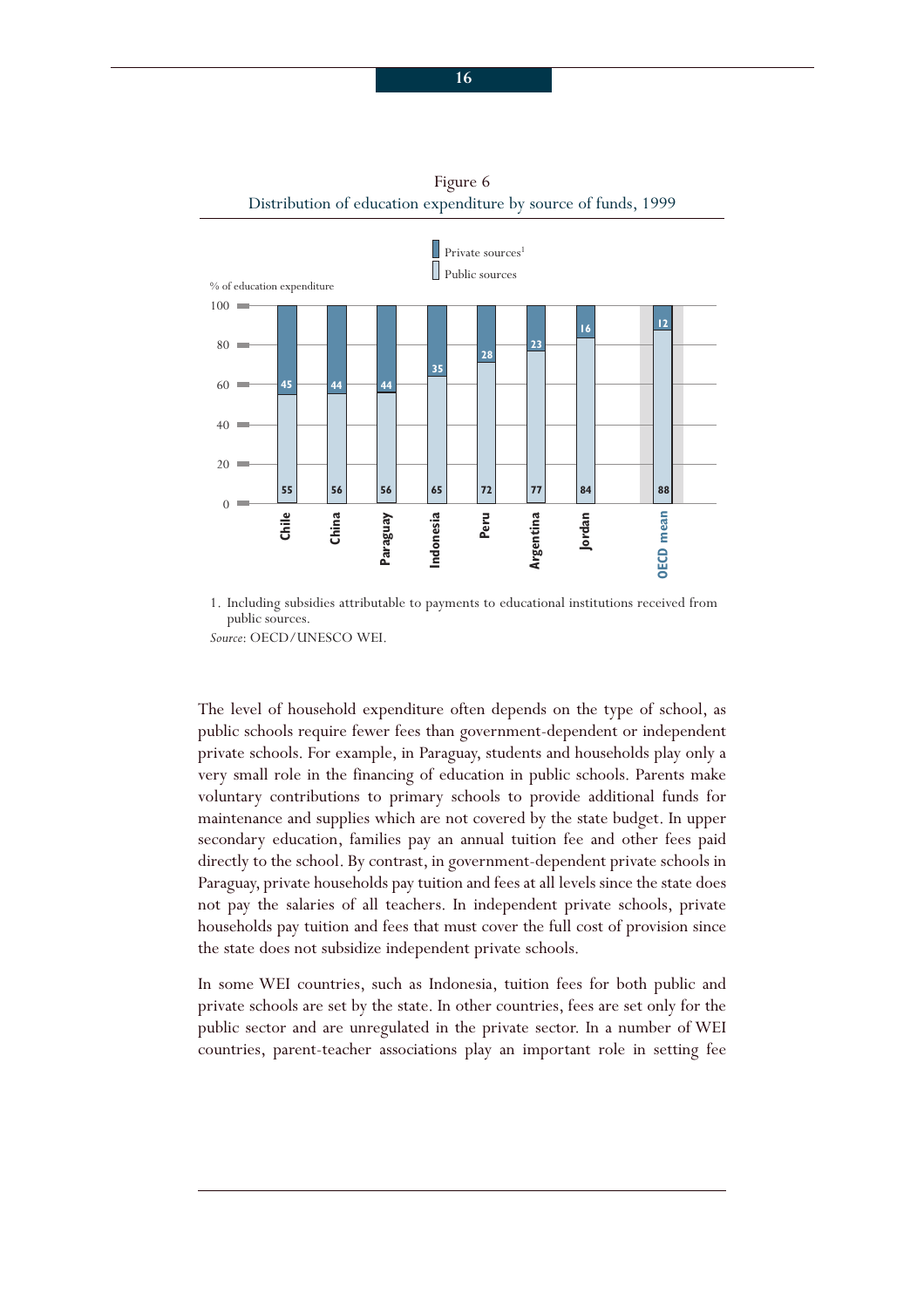

Figure 6 Figure 6 Distribution of education expenditure by source of funds, 1999 Distribution of education expenditure by source of funds, 1999

public sources.

The level of household expenditure often depends on the type of school, as public schools require fewer fees than government-dependent or independent private schools. For example, in Paraguay, students and households play only a very small role in the financing of education in public schools. Parents make voluntary contributions to primary schools to provide additional funds for maintenance and supplies which are not covered by the state budget. In upper secondary education, families pay an annual tuition fee and other fees paid directly to the school. By contrast, in government-dependent private schools in Paraguay, private households pay tuition and fees at all levels since the state does not pay the salaries of all teachers. In independent private schools, private households pay tuition and fees that must cover the full cost of provision since the state does not subsidize independent private schools.

In some WEI countries, such as Indonesia, tuition fees for both public and private schools are set by the state. In other countries, fees are set only for the public sector and are unregulated in the private sector. In a number of WEI countries, parent-teacher associations play an important role in setting fee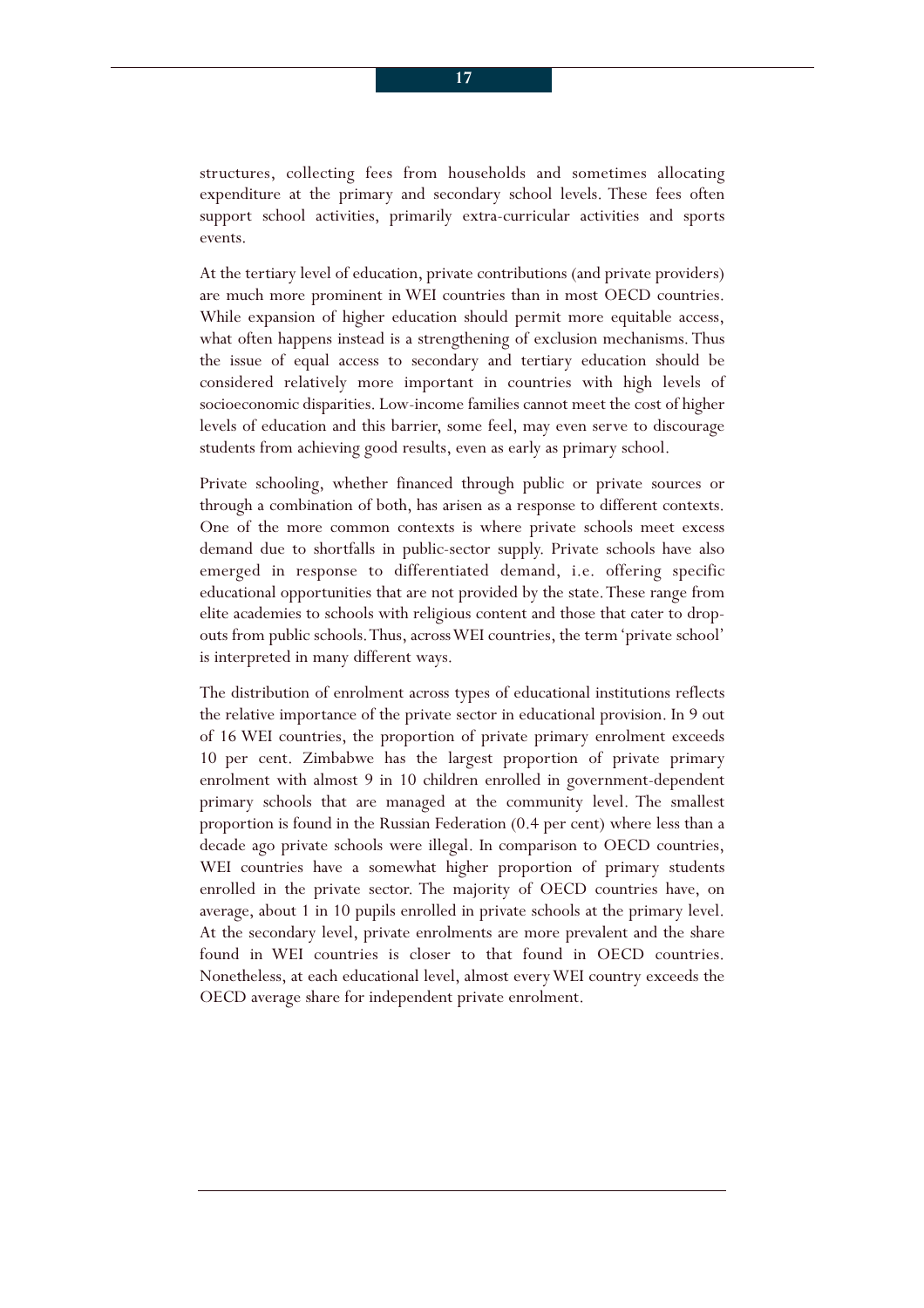structures, collecting fees from households and sometimes allocating expenditure at the primary and secondary school levels. These fees often support school activities, primarily extra-curricular activities and sports events.

At the tertiary level of education, private contributions (and private providers) are much more prominent in WEI countries than in most OECD countries. While expansion of higher education should permit more equitable access, what often happens instead is a strengthening of exclusion mechanisms. Thus the issue of equal access to secondary and tertiary education should be considered relatively more important in countries with high levels of socioeconomic disparities. Low-income families cannot meet the cost of higher levels of education and this barrier, some feel, may even serve to discourage students from achieving good results, even as early as primary school.

Private schooling, whether financed through public or private sources or through a combination of both, has arisen as a response to different contexts. One of the more common contexts is where private schools meet excess demand due to shortfalls in public-sector supply. Private schools have also emerged in response to differentiated demand, i.e. offering specific educational opportunities that are not provided by the state.These range from elite academies to schools with religious content and those that cater to dropouts from public schools.Thus, across WEI countries, the term 'private school' is interpreted in many different ways.

The distribution of enrolment across types of educational institutions reflects the relative importance of the private sector in educational provision. In 9 out of 16 WEI countries, the proportion of private primary enrolment exceeds 10 per cent. Zimbabwe has the largest proportion of private primary enrolment with almost 9 in 10 children enrolled in government-dependent primary schools that are managed at the community level. The smallest proportion is found in the Russian Federation (0.4 per cent) where less than a decade ago private schools were illegal. In comparison to OECD countries, WEI countries have a somewhat higher proportion of primary students enrolled in the private sector. The majority of OECD countries have, on average, about 1 in 10 pupils enrolled in private schools at the primary level. At the secondary level, private enrolments are more prevalent and the share found in WEI countries is closer to that found in OECD countries. Nonetheless, at each educational level, almost every WEI country exceeds the OECD average share for independent private enrolment.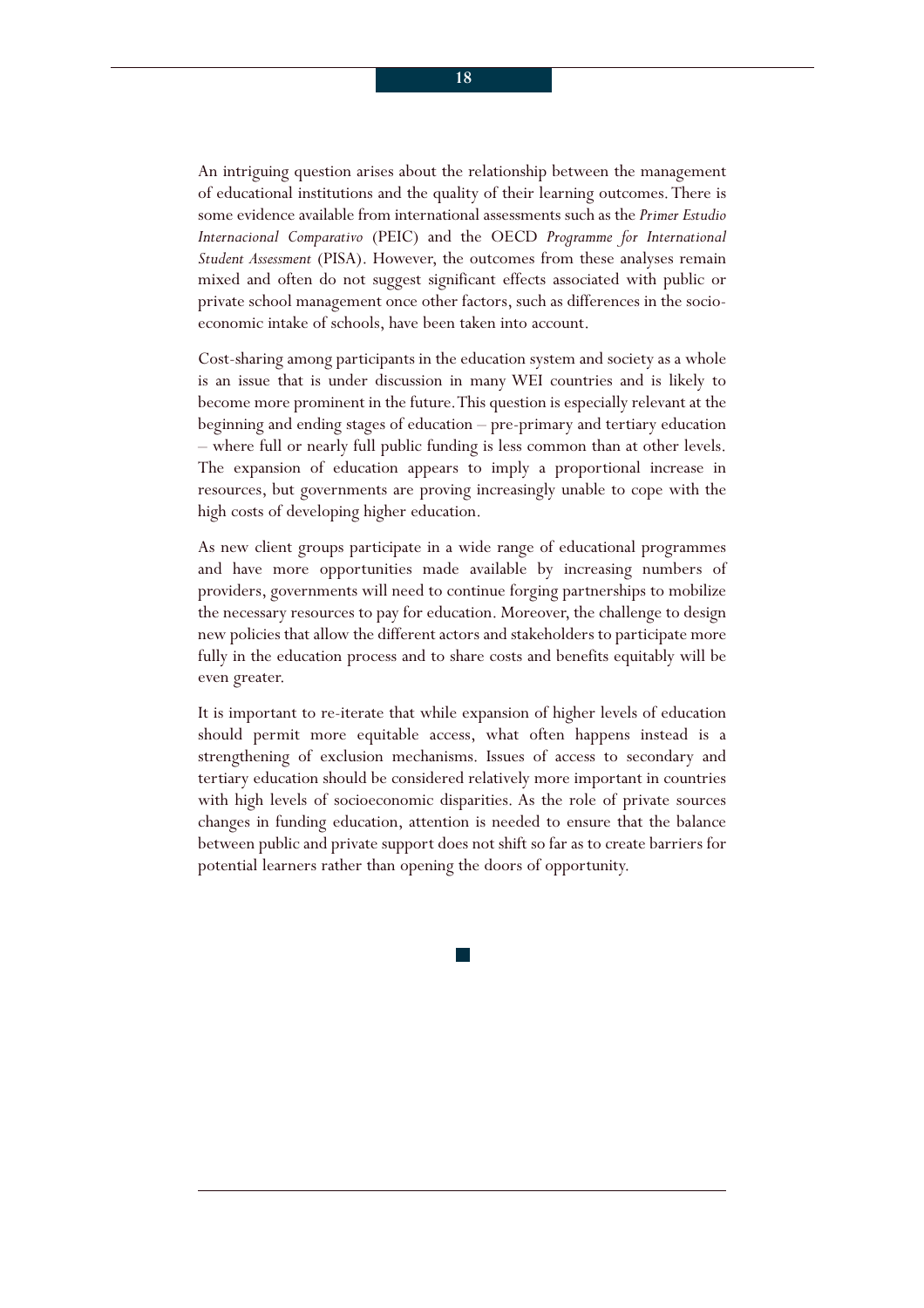An intriguing question arises about the relationship between the management of educational institutions and the quality of their learning outcomes.There is some evidence available from international assessments such as the *Primer Estudio Internacional Comparativo* (PEIC) and the OECD *Programme for International Student Assessment* (PISA). However, the outcomes from these analyses remain mixed and often do not suggest significant effects associated with public or private school management once other factors, such as differences in the socioeconomic intake of schools, have been taken into account.

Cost-sharing among participants in the education system and society as a whole is an issue that is under discussion in many WEI countries and is likely to become more prominent in the future.This question is especially relevant at the beginning and ending stages of education – pre-primary and tertiary education – where full or nearly full public funding is less common than at other levels. The expansion of education appears to imply a proportional increase in resources, but governments are proving increasingly unable to cope with the high costs of developing higher education.

As new client groups participate in a wide range of educational programmes and have more opportunities made available by increasing numbers of providers, governments will need to continue forging partnerships to mobilize the necessary resources to pay for education. Moreover, the challenge to design new policies that allow the different actors and stakeholders to participate more fully in the education process and to share costs and benefits equitably will be even greater.

It is important to re-iterate that while expansion of higher levels of education should permit more equitable access, what often happens instead is a strengthening of exclusion mechanisms. Issues of access to secondary and tertiary education should be considered relatively more important in countries with high levels of socioeconomic disparities. As the role of private sources changes in funding education, attention is needed to ensure that the balance between public and private support does not shift so far as to create barriers for potential learners rather than opening the doors of opportunity.